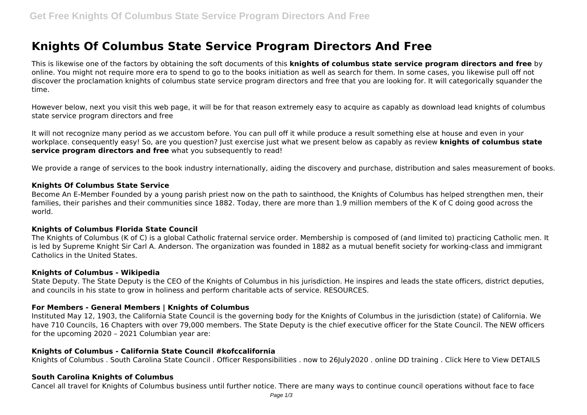# **Knights Of Columbus State Service Program Directors And Free**

This is likewise one of the factors by obtaining the soft documents of this **knights of columbus state service program directors and free** by online. You might not require more era to spend to go to the books initiation as well as search for them. In some cases, you likewise pull off not discover the proclamation knights of columbus state service program directors and free that you are looking for. It will categorically squander the time.

However below, next you visit this web page, it will be for that reason extremely easy to acquire as capably as download lead knights of columbus state service program directors and free

It will not recognize many period as we accustom before. You can pull off it while produce a result something else at house and even in your workplace. consequently easy! So, are you question? Just exercise just what we present below as capably as review **knights of columbus state service program directors and free** what you subsequently to read!

We provide a range of services to the book industry internationally, aiding the discovery and purchase, distribution and sales measurement of books.

#### **Knights Of Columbus State Service**

Become An E-Member Founded by a young parish priest now on the path to sainthood, the Knights of Columbus has helped strengthen men, their families, their parishes and their communities since 1882. Today, there are more than 1.9 million members of the K of C doing good across the world.

## **Knights of Columbus Florida State Council**

The Knights of Columbus (K of C) is a global Catholic fraternal service order. Membership is composed of (and limited to) practicing Catholic men. It is led by Supreme Knight Sir Carl A. Anderson. The organization was founded in 1882 as a mutual benefit society for working-class and immigrant Catholics in the United States.

## **Knights of Columbus - Wikipedia**

State Deputy. The State Deputy is the CEO of the Knights of Columbus in his jurisdiction. He inspires and leads the state officers, district deputies, and councils in his state to grow in holiness and perform charitable acts of service. RESOURCES.

## **For Members - General Members | Knights of Columbus**

Instituted May 12, 1903, the California State Council is the governing body for the Knights of Columbus in the jurisdiction (state) of California. We have 710 Councils, 16 Chapters with over 79,000 members. The State Deputy is the chief executive officer for the State Council. The NEW officers for the upcoming 2020 – 2021 Columbian year are:

## **Knights of Columbus - California State Council #kofccalifornia**

Knights of Columbus . South Carolina State Council . Officer Responsibilities . now to 26July2020 . online DD training . Click Here to View DETAILS

#### **South Carolina Knights of Columbus**

Cancel all travel for Knights of Columbus business until further notice. There are many ways to continue council operations without face to face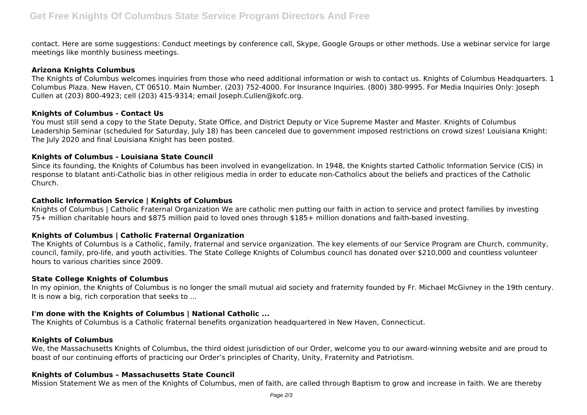contact. Here are some suggestions: Conduct meetings by conference call, Skype, Google Groups or other methods. Use a webinar service for large meetings like monthly business meetings.

## **Arizona Knights Columbus**

The Knights of Columbus welcomes inquiries from those who need additional information or wish to contact us. Knights of Columbus Headquarters. 1 Columbus Plaza. New Haven, CT 06510. Main Number. (203) 752-4000. For Insurance Inquiries. (800) 380-9995. For Media Inquiries Only: Joseph Cullen at (203) 800-4923; cell (203) 415-9314; email Joseph.Cullen@kofc.org.

## **Knights of Columbus - Contact Us**

You must still send a copy to the State Deputy, State Office, and District Deputy or Vice Supreme Master and Master. Knights of Columbus Leadership Seminar (scheduled for Saturday, July 18) has been canceled due to government imposed restrictions on crowd sizes! Louisiana Knight: The July 2020 and final Louisiana Knight has been posted.

## **Knights of Columbus - Louisiana State Council**

Since its founding, the Knights of Columbus has been involved in evangelization. In 1948, the Knights started Catholic Information Service (CIS) in response to blatant anti-Catholic bias in other religious media in order to educate non-Catholics about the beliefs and practices of the Catholic Church.

## **Catholic Information Service | Knights of Columbus**

Knights of Columbus | Catholic Fraternal Organization We are catholic men putting our faith in action to service and protect families by investing 75+ million charitable hours and \$875 million paid to loved ones through \$185+ million donations and faith-based investing.

# **Knights of Columbus | Catholic Fraternal Organization**

The Knights of Columbus is a Catholic, family, fraternal and service organization. The key elements of our Service Program are Church, community, council, family, pro-life, and youth activities. The State College Knights of Columbus council has donated over \$210,000 and countless volunteer hours to various charities since 2009.

## **State College Knights of Columbus**

In my opinion, the Knights of Columbus is no longer the small mutual aid society and fraternity founded by Fr. Michael McGivney in the 19th century. It is now a big, rich corporation that seeks to ...

# **I'm done with the Knights of Columbus | National Catholic ...**

The Knights of Columbus is a Catholic fraternal benefits organization headquartered in New Haven, Connecticut.

## **Knights of Columbus**

We, the Massachusetts Knights of Columbus, the third oldest jurisdiction of our Order, welcome you to our award-winning website and are proud to boast of our continuing efforts of practicing our Order's principles of Charity, Unity, Fraternity and Patriotism.

## **Knights of Columbus – Massachusetts State Council**

Mission Statement We as men of the Knights of Columbus, men of faith, are called through Baptism to grow and increase in faith. We are thereby